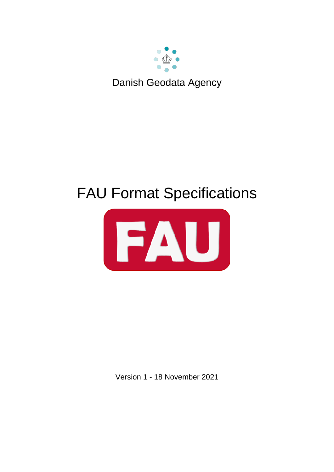

# FAU Format Specifications



Version 1 - 18 November 2021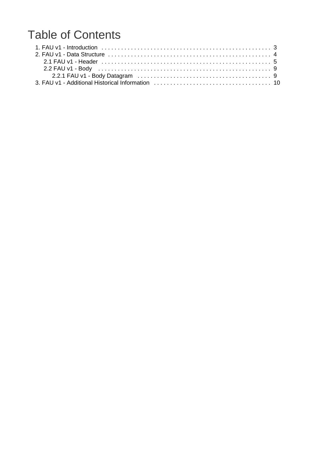## Table of Contents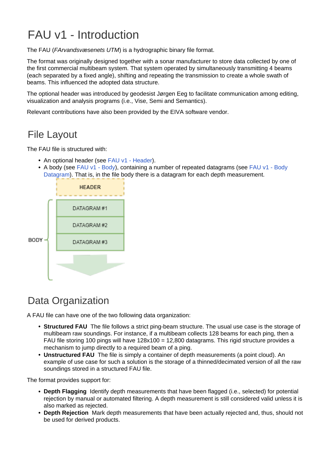# <span id="page-2-0"></span>FAU v1 - Introduction

The FAU (FArvandsvæsenets UTM) is a hydrographic binary file format.

The format was originally designed together with a sonar manufacturer to store data collected by one of the first commercial multibeam system. That system operated by simultaneously transmitting 4 beams (each separated by a fixed angle), shifting and repeating the transmission to create a whole swath of beams. This influenced the adopted data structure.

The optional header was introduced by geodesist Jørgen Eeg to facilitate communication among editing, visualization and analysis programs (i.e., Vise, Semi and Semantics).

Relevant contributions have also been provided by the EIVA software vendor.

#### File Layout

The FAU file is structured with:

- An optional header (see [FAU v1 Header](#page-4-0)).
- A body (see [FAU v1 Body](#page-8-0)), containing a number of repeated datagrams (see FAU v1 Body [Datagram](#page-8-1)). That is, in the file body there is a datagram for each depth measurement.



## Data Organization

A FAU file can have one of the two following data organization:

- **Structured FAU** The file follows a strict ping-beam structure. The usual use case is the storage of multibeam raw soundings. For instance, if a multibeam collects 128 beams for each ping, then a FAU file storing 100 pings will have 128x100 = 12,800 datagrams. This rigid structure provides a mechanism to jump directly to a required beam of a ping.
- **Unstructured FAU** The file is simply a container of depth measurements (a point cloud). An example of use case for such a solution is the storage of a thinned/decimated version of all the raw soundings stored in a structured FAU file.

The format provides support for:

- **Depth Flagging** Identify depth measurements that have been flagged (i.e., selected) for potential rejection by manual or automated filtering. A depth measurement is still considered valid unless it is also marked as rejected.
- **Depth Rejection** Mark depth measurements that have been actually rejected and, thus, should not be used for derived products.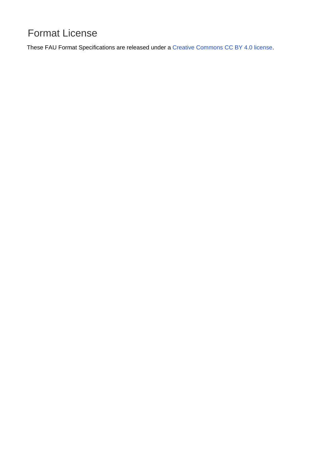## Format License

<span id="page-3-0"></span>These FAU Format Specifications are released under a [Creative Commons CC BY 4.0 license.](https://creativecommons.org/licenses/by/4.0/)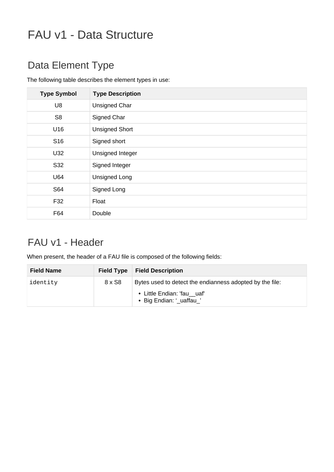# FAU v1 - Data Structure

## Data Element Type

The following table describes the element types in use:

| <b>Type Symbol</b> | <b>Type Description</b> |
|--------------------|-------------------------|
| U8                 | <b>Unsigned Char</b>    |
| S <sub>8</sub>     | Signed Char             |
| U16                | <b>Unsigned Short</b>   |
| S <sub>16</sub>    | Signed short            |
| U32                | Unsigned Integer        |
| S32                | Signed Integer          |
| U64                | <b>Unsigned Long</b>    |
| S64                | Signed Long             |
| F32                | Float                   |
| F64                | Double                  |

## <span id="page-4-0"></span>FAU v1 - Header

When present, the header of a FAU file is composed of the following fields:

| <b>Field Name</b> | <b>Field Type</b> | <b>Field Description</b>                                 |
|-------------------|-------------------|----------------------------------------------------------|
| identity          | 8 x S8            | Bytes used to detect the endianness adopted by the file: |
|                   |                   | • Little Endian: 'fau_uaf'<br>• Big Endian: '_uaffau_'   |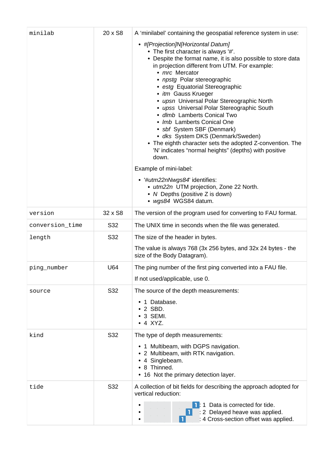| minilab         | 20 x S8 | A 'minilabel' containing the geospatial reference system in use:                                                                                                                                                                                                                                                                                                                                                                                                                                                                                                                                                                                                                                                                                                                                                                    |
|-----------------|---------|-------------------------------------------------------------------------------------------------------------------------------------------------------------------------------------------------------------------------------------------------------------------------------------------------------------------------------------------------------------------------------------------------------------------------------------------------------------------------------------------------------------------------------------------------------------------------------------------------------------------------------------------------------------------------------------------------------------------------------------------------------------------------------------------------------------------------------------|
|                 |         | • #[Projection]N[Horizontal Datum]<br>• The first character is always '#'.<br>• Despite the format name, it is also possible to store data<br>in projection different from UTM. For example:<br>• mrc Mercator<br>• npstg Polar stereographic<br>• estg Equatorial Stereographic<br>• itm Gauss Krueger<br>• upsn Universal Polar Stereographic North<br>• upss Universal Polar Stereographic South<br>· dlmb Lamberts Conical Two<br>• Imb Lamberts Conical One<br>• sbf System SBF (Denmark)<br>• dks System DKS (Denmark/Sweden)<br>• The eighth character sets the adopted Z-convention. The<br>'N' indicates "normal heights" (depths) with positive<br>down.<br>Example of mini-label:<br>• '#utm22nNwgs84' identifies:<br>• utm22n UTM projection, Zone 22 North.<br>• N Depths (positive Z is down)<br>· wgs84 WGS84 datum. |
| version         | 32 x S8 | The version of the program used for converting to FAU format.                                                                                                                                                                                                                                                                                                                                                                                                                                                                                                                                                                                                                                                                                                                                                                       |
| conversion_time | S32     | The UNIX time in seconds when the file was generated.                                                                                                                                                                                                                                                                                                                                                                                                                                                                                                                                                                                                                                                                                                                                                                               |
| length          | S32     | The size of the header in bytes.<br>The value is always 768 (3x 256 bytes, and 32x 24 bytes - the<br>size of the Body Datagram).                                                                                                                                                                                                                                                                                                                                                                                                                                                                                                                                                                                                                                                                                                    |
| ping_number     | U64     | The ping number of the first ping converted into a FAU file.<br>If not used/applicable, use 0.                                                                                                                                                                                                                                                                                                                                                                                                                                                                                                                                                                                                                                                                                                                                      |
| source          | S32     | The source of the depth measurements:<br>1 Database.<br>$\cdot$ 2 SBD.<br>$\cdot$ 3 SEMI.<br>$\bullet$ 4 XYZ.                                                                                                                                                                                                                                                                                                                                                                                                                                                                                                                                                                                                                                                                                                                       |
| kind            | S32     | The type of depth measurements:<br>• 1 Multibeam, with DGPS navigation.<br>• 2 Multibeam, with RTK navigation.<br>• 4 Singlebeam.<br>• 8 Thinned.<br>• 16 Not the primary detection layer.                                                                                                                                                                                                                                                                                                                                                                                                                                                                                                                                                                                                                                          |
| tide            | S32     | A collection of bit fields for describing the approach adopted for<br>vertical reduction:<br>1 Data is corrected for tide.<br>: 2 Delayed heave was applied.<br>: 4 Cross-section offset was applied.                                                                                                                                                                                                                                                                                                                                                                                                                                                                                                                                                                                                                               |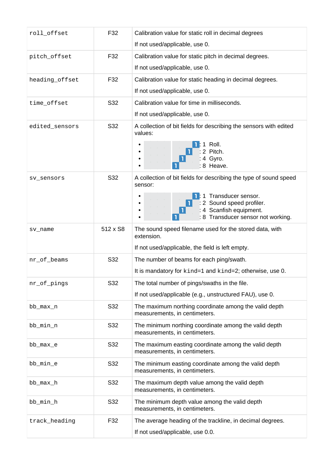| roll_offset    | F32      | Calibration value for static roll in decimal degrees<br>If not used/applicable, use 0.                                                                                                           |
|----------------|----------|--------------------------------------------------------------------------------------------------------------------------------------------------------------------------------------------------|
| pitch_offset   | F32      | Calibration value for static pitch in decimal degrees.<br>If not used/applicable, use 0.                                                                                                         |
| heading_offset | F32      | Calibration value for static heading in decimal degrees.<br>If not used/applicable, use 0.                                                                                                       |
| time_offset    | S32      | Calibration value for time in milliseconds.<br>If not used/applicable, use 0.                                                                                                                    |
| edited_sensors | S32      | A collection of bit fields for describing the sensors with edited<br>values:<br>1 Roll.<br>2 Pitch.<br>: 4 Gyro.<br>: 8 Heave.                                                                   |
| sv sensors     | S32      | A collection of bit fields for describing the type of sound speed<br>sensor:<br>Transducer sensor.<br>: 2 Sound speed profiler.<br>: 4 Scanfish equipment.<br>: 8 Transducer sensor not working. |
| sv_name        | 512 x S8 | The sound speed filename used for the stored data, with<br>extension.<br>If not used/applicable, the field is left empty.                                                                        |
| nr_of_beams    | S32      | The number of beams for each ping/swath.<br>It is mandatory for kind=1 and kind=2; otherwise, use 0.                                                                                             |
| nr_of_pings    | S32      | The total number of pings/swaths in the file.<br>If not used/applicable (e.g., unstructured FAU), use 0.                                                                                         |
| bb_max_n       | S32      | The maximum northing coordinate among the valid depth<br>measurements, in centimeters.                                                                                                           |
| bb_min_n       | S32      | The minimum northing coordinate among the valid depth<br>measurements, in centimeters.                                                                                                           |
| bb_max_e       | S32      | The maximum easting coordinate among the valid depth<br>measurements, in centimeters.                                                                                                            |
| bb_min_e       | S32      | The minimum easting coordinate among the valid depth<br>measurements, in centimeters.                                                                                                            |
| bb_max_h       | S32      | The maximum depth value among the valid depth<br>measurements, in centimeters.                                                                                                                   |
| bb_min_h       | S32      | The minimum depth value among the valid depth<br>measurements, in centimeters.                                                                                                                   |
| track_heading  | F32      | The average heading of the trackline, in decimal degrees.<br>If not used/applicable, use 0.0.                                                                                                    |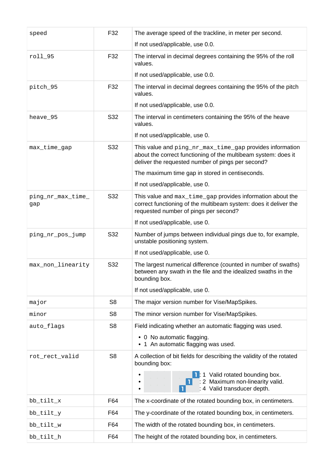| speed                    | F32            | The average speed of the trackline, in meter per second.                                                                                                                        |
|--------------------------|----------------|---------------------------------------------------------------------------------------------------------------------------------------------------------------------------------|
|                          |                | If not used/applicable, use 0.0.                                                                                                                                                |
| roll_95                  | F32            | The interval in decimal degrees containing the 95% of the roll<br>values.                                                                                                       |
|                          |                | If not used/applicable, use 0.0.                                                                                                                                                |
| pitch_95                 | F32            | The interval in decimal degrees containing the 95% of the pitch<br>values.                                                                                                      |
|                          |                | If not used/applicable, use 0.0.                                                                                                                                                |
| heave_95                 | S32            | The interval in centimeters containing the 95% of the heave<br>values.                                                                                                          |
|                          |                | If not used/applicable, use 0.                                                                                                                                                  |
| max_time_gap             | S32            | This value and ping_nr_max_time_gap provides information<br>about the correct functioning of the multibeam system: does it<br>deliver the requested number of pings per second? |
|                          |                | The maximum time gap in stored in centiseconds.                                                                                                                                 |
|                          |                | If not used/applicable, use 0.                                                                                                                                                  |
| ping_nr_max_time_<br>gap | S32            | This value and max_time_gap provides information about the<br>correct functioning of the multibeam system: does it deliver the<br>requested number of pings per second?         |
|                          |                | If not used/applicable, use 0.                                                                                                                                                  |
| ping_nr_pos_jump         | S32            | Number of jumps between individual pings due to, for example,<br>unstable positioning system.                                                                                   |
|                          |                | If not used/applicable, use 0.                                                                                                                                                  |
| max_non_linearity        | S32            | The largest numerical difference (counted in number of swaths)<br>between any swath in the file and the idealized swaths in the<br>bounding box.                                |
|                          |                | If not used/applicable, use 0.                                                                                                                                                  |
| major                    | S <sub>8</sub> | The major version number for Vise/MapSpikes.                                                                                                                                    |
| minor                    | S <sub>8</sub> | The minor version number for Vise/MapSpikes.                                                                                                                                    |
| auto_flags               | S <sub>8</sub> | Field indicating whether an automatic flagging was used.                                                                                                                        |
|                          |                | • 0 No automatic flagging.<br>1 An automatic flagging was used.                                                                                                                 |
| rot_rect_valid           | S <sub>8</sub> | A collection of bit fields for describing the validity of the rotated<br>bounding box:                                                                                          |
|                          |                | 1 Valid rotated bounding box.<br>: 2 Maximum non-linearity valid.<br>: 4 Valid transducer depth.                                                                                |
| bb_tilt_x                | F64            | The x-coordinate of the rotated bounding box, in centimeters.                                                                                                                   |
| bb_tilt_y                | F64            | The y-coordinate of the rotated bounding box, in centimeters.                                                                                                                   |
| bb_tilt_w                | F64            | The width of the rotated bounding box, in centimeters.                                                                                                                          |
| bb_tilt_h                | F64            | The height of the rotated bounding box, in centimeters.                                                                                                                         |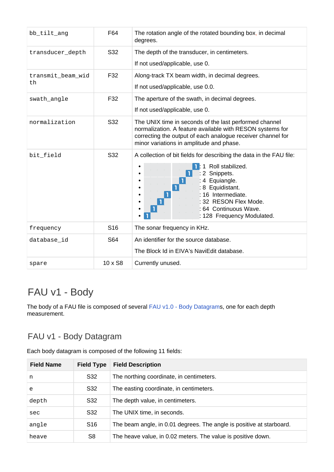| bb_tilt_ang             | F64             | The rotation angle of the rotated bounding box, in decimal<br>degrees.                                                                                                                                                                              |
|-------------------------|-----------------|-----------------------------------------------------------------------------------------------------------------------------------------------------------------------------------------------------------------------------------------------------|
| transducer_depth        | S32             | The depth of the transducer, in centimeters.<br>If not used/applicable, use 0.                                                                                                                                                                      |
| transmit_beam_wid<br>th | F32             | Along-track TX beam width, in decimal degrees.<br>If not used/applicable, use 0.0.                                                                                                                                                                  |
| swath_angle             | F32             | The aperture of the swath, in decimal degrees.<br>If not used/applicable, use 0.                                                                                                                                                                    |
| normalization           | S32             | The UNIX time in seconds of the last performed channel<br>normalization. A feature available with RESON systems for<br>correcting the output of each analogue receiver channel for<br>minor variations in amplitude and phase.                      |
| bit_field               | S32             | A collection of bit fields for describing the data in the FAU file:<br>Roll stabilized.<br>Snippets.<br>2<br>: 4 Equiangle.<br>: 8 Equidistant.<br>: 16 Intermediate.<br>32 RESON Flex Mode.<br>: 64 Continuous Wave.<br>: 128 Frequency Modulated. |
| frequency               | S <sub>16</sub> | The sonar frequency in KHz.                                                                                                                                                                                                                         |
| database_id             | S64             | An identifier for the source database.<br>The Block Id in EIVA's NaviEdit database.                                                                                                                                                                 |
| spare                   | $10 \times$ S8  | Currently unused.                                                                                                                                                                                                                                   |

## <span id="page-8-0"></span>FAU v1 - Body

<span id="page-8-1"></span>The body of a FAU file is composed of several [FAU v1.0 - Body Datagrams](#page-8-1), one for each depth measurement.

#### FAU v1 - Body Datagram

Each body datagram is composed of the following 11 fields:

| <b>Field Name</b> | <b>Field Type</b> | <b>Field Description</b>                                             |
|-------------------|-------------------|----------------------------------------------------------------------|
| n                 | S32               | The northing coordinate, in centimeters.                             |
| e                 | S32               | The easting coordinate, in centimeters.                              |
| depth             | S32               | The depth value, in centimeters.                                     |
| sec               | S32               | The UNIX time, in seconds.                                           |
| angle             | S <sub>16</sub>   | The beam angle, in 0.01 degrees. The angle is positive at starboard. |
| heave             | S8                | The heave value, in 0.02 meters. The value is positive down.         |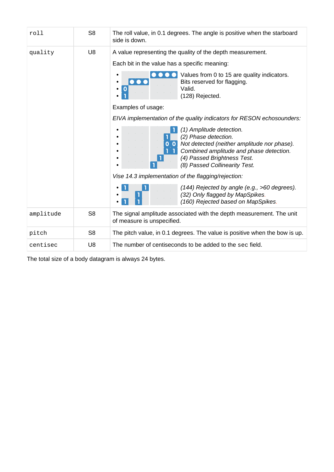| roll      | S <sub>8</sub> | The roll value, in 0.1 degrees. The angle is positive when the starboard<br>side is down.                                                                                                                                                                                                                                                                                                                                                                                                                                                                                                                                                                                                                                                                     |
|-----------|----------------|---------------------------------------------------------------------------------------------------------------------------------------------------------------------------------------------------------------------------------------------------------------------------------------------------------------------------------------------------------------------------------------------------------------------------------------------------------------------------------------------------------------------------------------------------------------------------------------------------------------------------------------------------------------------------------------------------------------------------------------------------------------|
| quality   | U <sub>8</sub> | A value representing the quality of the depth measurement.<br>Each bit in the value has a specific meaning:<br>Values from 0 to 15 are quality indicators.<br>Bits reserved for flagging.<br>$\bigcirc$<br>$\mathbf 0$<br>Valid.<br>(128) Rejected.<br>Examples of usage:<br>EIVA implementation of the quality indicators for RESON echosounders:<br>(1) Amplitude detection.<br>$\bullet$<br>(2) Phase detection.<br>Not detected (neither amplitude nor phase).<br>Combined amplitude and phase detection.<br>(4) Passed Brightness Test.<br>(8) Passed Collinearity Test.<br>Vise 14.3 implementation of the flagging/rejection:<br>(144) Rejected by angle (e.g., >60 degrees).<br>(32) Only flagged by MapSpikes.<br>(160) Rejected based on MapSpikes. |
| amplitude | S <sub>8</sub> | The signal amplitude associated with the depth measurement. The unit<br>of measure is unspecified.                                                                                                                                                                                                                                                                                                                                                                                                                                                                                                                                                                                                                                                            |
| pitch     | S <sub>8</sub> | The pitch value, in 0.1 degrees. The value is positive when the bow is up.                                                                                                                                                                                                                                                                                                                                                                                                                                                                                                                                                                                                                                                                                    |
| centisec  | U <sub>8</sub> | The number of centiseconds to be added to the sec field.                                                                                                                                                                                                                                                                                                                                                                                                                                                                                                                                                                                                                                                                                                      |

<span id="page-9-0"></span>The total size of a body datagram is always 24 bytes.